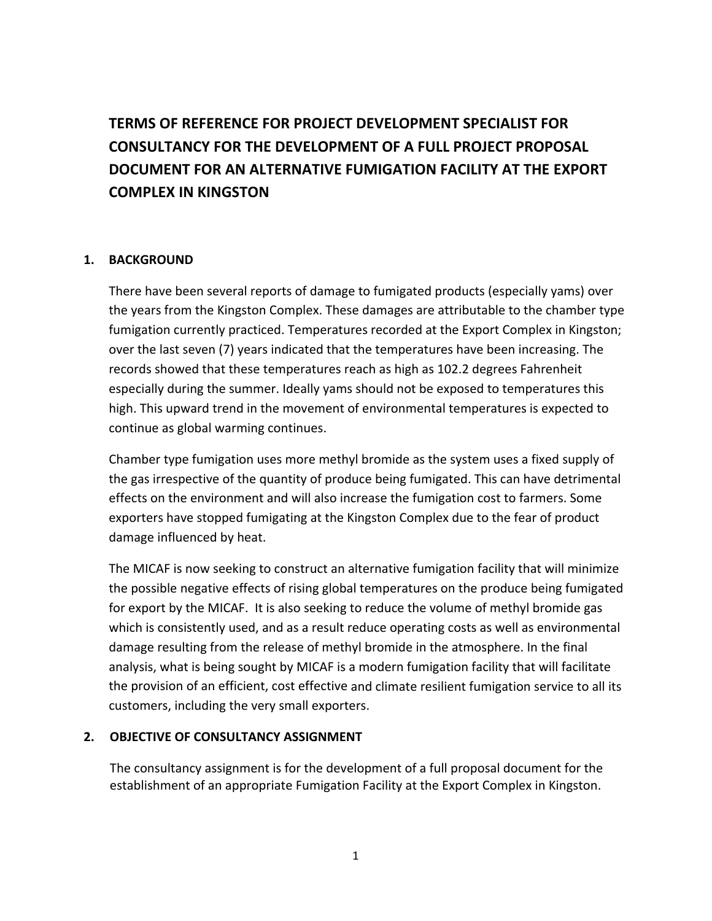# **TERMS OF REFERENCE FOR PROJECT DEVELOPMENT SPECIALIST FOR CONSULTANCY FOR THE DEVELOPMENT OF A FULL PROJECT PROPOSAL DOCUMENT FOR AN ALTERNATIVE FUMIGATION FACILITY AT THE EXPORT COMPLEX IN KINGSTON**

# **1. BACKGROUND**

There have been several reports of damage to fumigated products (especially yams) over the years from the Kingston Complex. These damages are attributable to the chamber type fumigation currently practiced. Temperatures recorded at the Export Complex in Kingston; over the last seven (7) years indicated that the temperatures have been increasing. The records showed that these temperatures reach as high as 102.2 degrees Fahrenheit especially during the summer. Ideally yams should not be exposed to temperatures this high. This upward trend in the movement of environmental temperatures is expected to continue as global warming continues.

Chamber type fumigation uses more methyl bromide as the system uses a fixed supply of the gas irrespective of the quantity of produce being fumigated. This can have detrimental effects on the environment and will also increase the fumigation cost to farmers. Some exporters have stopped fumigating at the Kingston Complex due to the fear of product damage influenced by heat.

The MICAF is now seeking to construct an alternative fumigation facility that will minimize the possible negative effects of rising global temperatures on the produce being fumigated for export by the MICAF. It is also seeking to reduce the volume of methyl bromide gas which is consistently used, and as a result reduce operating costs as well as environmental damage resulting from the release of methyl bromide in the atmosphere. In the final analysis, what is being sought by MICAF is a modern fumigation facility that will facilitate the provision of an efficient, cost effective and climate resilient fumigation service to all its customers, including the very small exporters.

### **2. OBJECTIVE OF CONSULTANCY ASSIGNMENT**

The consultancy assignment is for the development of a full proposal document for the establishment of an appropriate Fumigation Facility at the Export Complex in Kingston.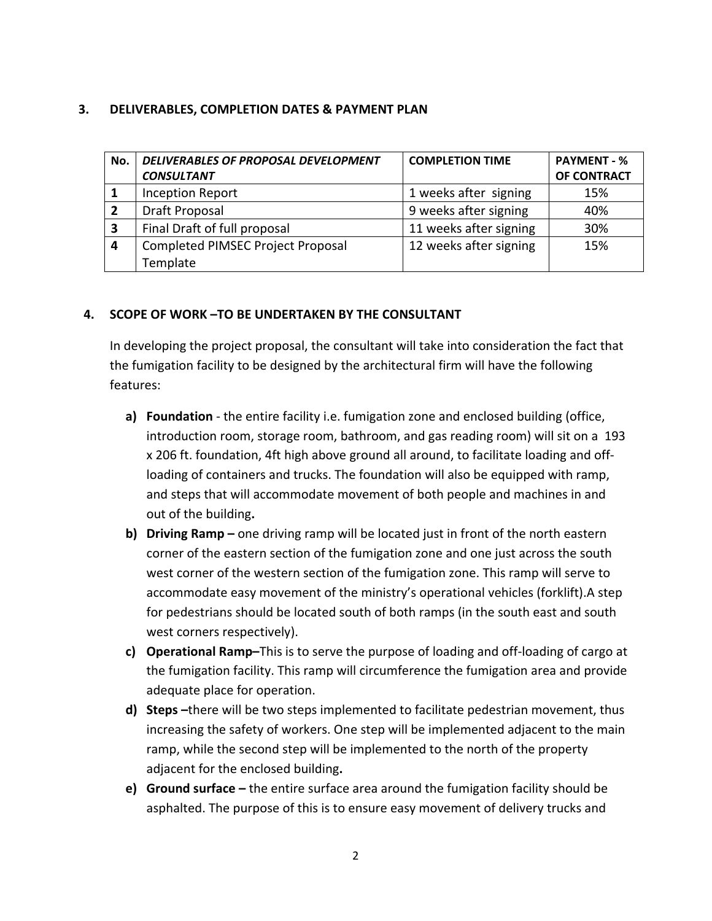## **3. DELIVERABLES, COMPLETION DATES & PAYMENT PLAN**

| No.            | DELIVERABLES OF PROPOSAL DEVELOPMENT<br><b>CONSULTANT</b> | <b>COMPLETION TIME</b> | <b>PAYMENT - %</b><br>OF CONTRACT |
|----------------|-----------------------------------------------------------|------------------------|-----------------------------------|
| - 1            | <b>Inception Report</b>                                   | 1 weeks after signing  | 15%                               |
| $\overline{2}$ | <b>Draft Proposal</b>                                     | 9 weeks after signing  | 40%                               |
| 3              | Final Draft of full proposal                              | 11 weeks after signing | 30%                               |
| $\overline{a}$ | Completed PIMSEC Project Proposal                         | 12 weeks after signing | 15%                               |
|                | Template                                                  |                        |                                   |

### **4. SCOPE OF WORK –TO BE UNDERTAKEN BY THE CONSULTANT**

In developing the project proposal, the consultant will take into consideration the fact that the fumigation facility to be designed by the architectural firm will have the following features:

- **a) Foundation** ‐ the entire facility i.e. fumigation zone and enclosed building (office, introduction room, storage room, bathroom, and gas reading room) will sit on a 193 x 206 ft. foundation, 4ft high above ground all around, to facilitate loading and off‐ loading of containers and trucks. The foundation will also be equipped with ramp, and steps that will accommodate movement of both people and machines in and out of the building**.**
- **b) Driving Ramp –** one driving ramp will be located just in front of the north eastern corner of the eastern section of the fumigation zone and one just across the south west corner of the western section of the fumigation zone. This ramp will serve to accommodate easy movement of the ministry's operational vehicles (forklift).A step for pedestrians should be located south of both ramps (in the south east and south west corners respectively).
- **c) Operational Ramp–**This is to serve the purpose of loading and off‐loading of cargo at the fumigation facility. This ramp will circumference the fumigation area and provide adequate place for operation.
- **d) Steps –**there will be two steps implemented to facilitate pedestrian movement, thus increasing the safety of workers. One step will be implemented adjacent to the main ramp, while the second step will be implemented to the north of the property adjacent for the enclosed building**.**
- **e) Ground surface –** the entire surface area around the fumigation facility should be asphalted. The purpose of this is to ensure easy movement of delivery trucks and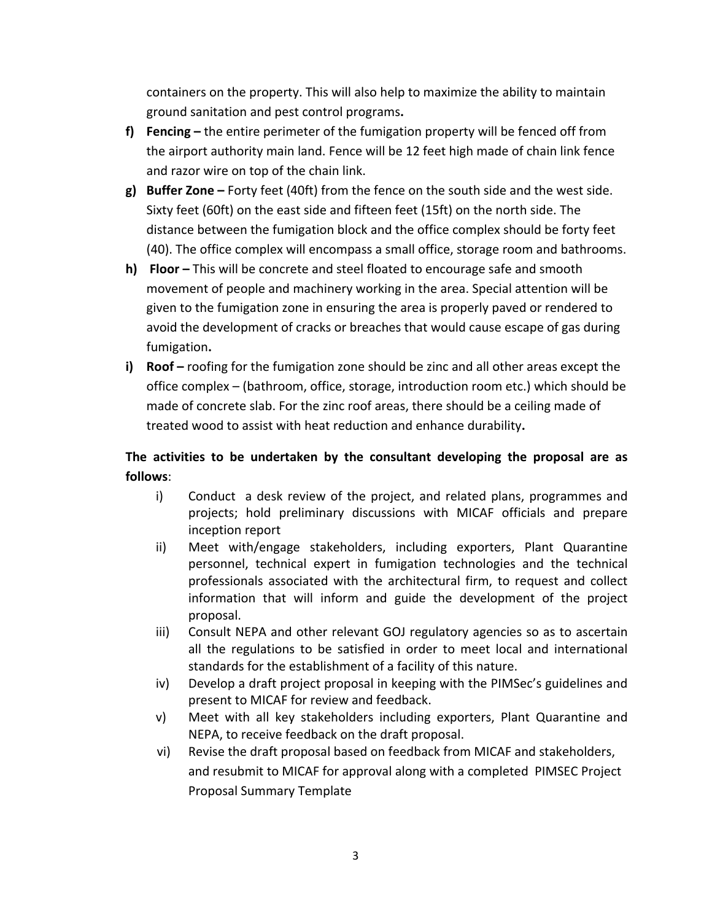containers on the property. This will also help to maximize the ability to maintain ground sanitation and pest control programs**.**

- **f) Fencing –** the entire perimeter of the fumigation property will be fenced off from the airport authority main land. Fence will be 12 feet high made of chain link fence and razor wire on top of the chain link.
- **g) Buffer Zone –** Forty feet (40ft) from the fence on the south side and the west side. Sixty feet (60ft) on the east side and fifteen feet (15ft) on the north side. The distance between the fumigation block and the office complex should be forty feet (40). The office complex will encompass a small office, storage room and bathrooms.
- **h) Floor –** This will be concrete and steel floated to encourage safe and smooth movement of people and machinery working in the area. Special attention will be given to the fumigation zone in ensuring the area is properly paved or rendered to avoid the development of cracks or breaches that would cause escape of gas during fumigation**.**
- **i) Roof –** roofing for the fumigation zone should be zinc and all other areas except the office complex – (bathroom, office, storage, introduction room etc.) which should be made of concrete slab. For the zinc roof areas, there should be a ceiling made of treated wood to assist with heat reduction and enhance durability**.**

# **The activities to be undertaken by the consultant developing the proposal are as follows**:

- i) Conduct a desk review of the project, and related plans, programmes and projects; hold preliminary discussions with MICAF officials and prepare inception report
- ii) Meet with/engage stakeholders, including exporters, Plant Quarantine personnel, technical expert in fumigation technologies and the technical professionals associated with the architectural firm, to request and collect information that will inform and guide the development of the project proposal.
- iii) Consult NEPA and other relevant GOJ regulatory agencies so as to ascertain all the regulations to be satisfied in order to meet local and international standards for the establishment of a facility of this nature.
- iv) Develop a draft project proposal in keeping with the PIMSec's guidelines and present to MICAF for review and feedback.
- v) Meet with all key stakeholders including exporters, Plant Quarantine and NEPA, to receive feedback on the draft proposal.
- vi) Revise the draft proposal based on feedback from MICAF and stakeholders, and resubmit to MICAF for approval along with a completed PIMSEC Project Proposal Summary Template